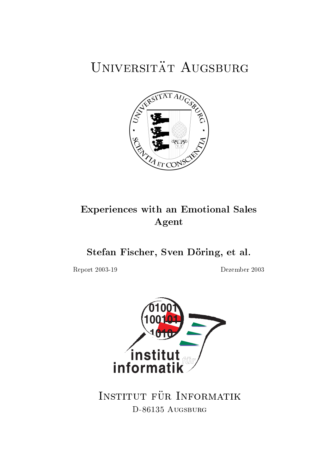# UNIVERSITÄT AUGSBURG



## **Experiences with an Emotional Sales** Agent

Stefan Fischer, Sven Döring, et al.

Report 2003-19

Dezember 2003



INSTITUT FÜR INFORMATIK D-86135 AUGSBURG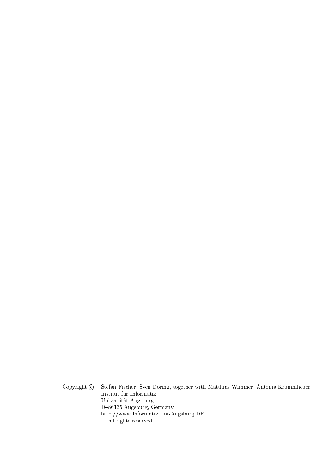Copyright  $\copyright$ Stefan Fischer, Sven Döring, together with Matthias Wimmer, Antonia Krummheuer Institut für Informatik Universität Augsburg D-86135 Augsburg, Germany http://www.Informatik.Uni-Augsburg.DE  $-\frac{1}{2}$  rights reserved  $-$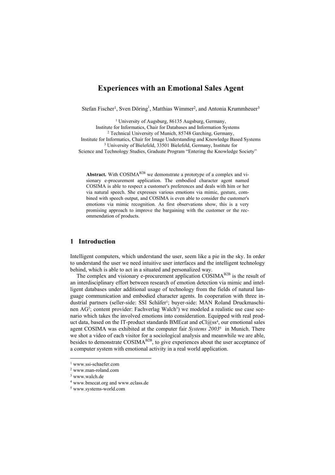## **Experiences with an Emotional Sales Agent**

Stefan Fischer<sup>1</sup>, Sven Döring<sup>1</sup>, Matthias Wimmer<sup>2</sup>, and Antonia Krummheuer<sup>3</sup>

<sup>1</sup> University of Augsburg, 86135 Augsburg, Germany,<br>Institute for Informatics, Chair for Databases and Information Systems <sup>2</sup> Technical University of Munich, 85748 Garching, Germany, Institute for Informatics, Chair for Image Understanding and Knowledge Based Systems 3 University of Bielefeld, 33501 Bielefeld, Germany, Institute for Science and Technology Studies, Graduate Program "Entering the Knowledge Society"

**Abstract.** With  $COSIMA<sup>B2B</sup>$  we demonstrate a prototype of a complex and visionary e-procurement application. The embodied character agent named COSIMA is able to respect a customer's preferences and deals with him or her via natural speech. She expresses various emotions via mimic, gesture, combined with speech output, and COSIMA is even able to consider the customer's emotions via mimic recognition. As first observations show, this is a very promising approach to improve the bargaining with the customer or the recommendation of products.

## **1 Introduction**

Intelligent computers, which understand the user, seem like a pie in the sky. In order to understand the user we need intuitive user interfaces and the intelligent technology behind, which is able to act in a situated and personalized way.

The complex and visionary e-procurement application COSIMA<sup>B2B</sup> is the result of an interdisciplinary effort between research of emotion detection via mimic and intelligent databases under additional usage of technology from the fields of natural language communication and embodied character agents. In cooperation with three industrial partners (seller-side: SSI Schäfer<sup>1</sup>; buyer-side: MAN Roland Druckmaschinen AG<sup>2</sup>; content provider: Fachverlag Walch<sup>3</sup>) we modeled a realistic use case scenario which takes the involved emotions into consideration. Equipped with real product data, based on the IT-product standards BMEcat and  $eCl(a)$ ss<sup>4</sup>, our emotional sales agent COSIMA was exhibited at the computer fair *Systems 2003*<sup>5</sup> in Munich. There we shot a video of each visitor for a sociological analysis and meanwhile we are able, besides to demonstrate COSIMA<sup>B2B</sup>, to give experiences about the user acceptance of a computer system with emotional activity in a real world application.

l

<sup>1</sup> www.ssi-schaefer.com

<sup>2</sup> www.man-roland.com

<sup>3</sup> www.walch.de

<sup>4</sup> www.bmecat.org and www.eclass.de

<sup>5</sup> www.systems-world.com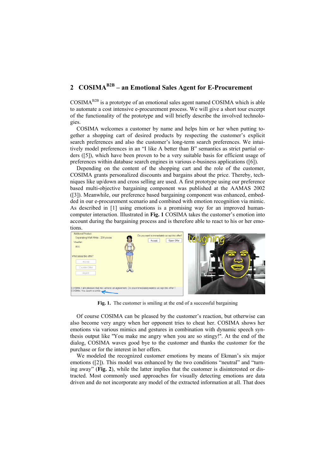## **2 COSIMAB2B – an Emotional Sales Agent for E-Procurement**

COSIMAB2B is a prototype of an emotional sales agent named COSIMA which is able to automate a cost intensive e-procurement process. We will give a short tour excerpt of the functionality of the prototype and will briefly describe the involved technologies.

COSIMA welcomes a customer by name and helps him or her when putting together a shopping cart of desired products by respecting the customer's explicit search preferences and also the customer's long-term search preferences. We intuitively model preferences in an "I like A better than B" semantics as strict partial orders ([5]), which have been proven to be a very suitable basis for efficient usage of preferences within database search engines in various e-business applications ([6]).

Depending on the content of the shopping cart and the role of the customer, COSIMA grants personalized discounts and bargains about the price. Thereby, techniques like up/down and cross selling are used. A first prototype using our preference based multi-objective bargaining component was published at the AAMAS 2002 ([3]). Meanwhile, our preference based bargaining component was enhanced, embedded in our e-procurement scenario and combined with emotion recognition via mimic. As described in [1] using emotions is a promising way for an improved humancomputer interaction. Illustrated in **Fig. 1** COSIMA takes the customer's emotion into account during the bargaining process and is therefore able to react to his or her emotions.



**Fig. 1.** The customer is smiling at the end of a successful bargaining

Of course COSIMA can be pleased by the customer's reaction, but otherwise can also become very angry when her opponent tries to cheat her. COSIMA shows her emotions via various mimics and gestures in combination with dynamic speech synthesis output like ''You make me angry when you are so stingy!''. At the end of the dialog, COSIMA waves good bye to the customer and thanks the customer for the purchase or for the interest in her offers.

We modeled the recognized customer emotions by means of Ekman's six major emotions ([2]). This model was enhanced by the two conditions "neutral" and "turning away" (**Fig. 2**), while the latter implies that the customer is disinterested or distracted. Most commonly used approaches for visually detecting emotions are data driven and do not incorporate any model of the extracted information at all. That does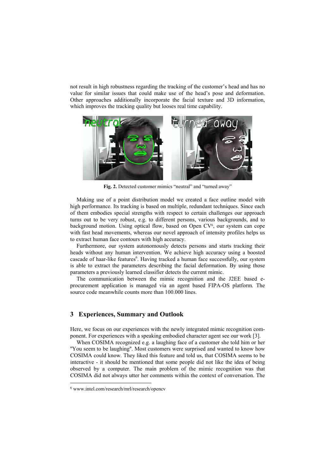not result in high robustness regarding the tracking of the customer's head and has no value for similar issues that could make use of the head's pose and deformation. Other approaches additionally incorporate the facial texture and 3D information, which improves the tracking quality but looses real time capability.



**Fig. 2.** Detected customer mimics "neutral" and "turned away"

Making use of a point distribution model we created a face outline model with high performance. Its tracking is based on multiple, redundant techniques. Since each of them embodies special strengths with respect to certain challenges our approach turns out to be very robust, e.g. to different persons, various backgrounds, and to background motion. Using optical flow, based on Open  $CV<sup>6</sup>$ , our system can cope with fast head movements, whereas our novel approach of intensity profiles helps us to extract human face contours with high accuracy.

Furthermore, our system autonomously detects persons and starts tracking their heads without any human intervention. We achieve high accuracy using a boosted cascade of haar-like features<sup>6</sup>. Having tracked a human face successfully, our system is able to extract the parameters describing the facial deformation. By using those parameters a previously learned classifier detects the current mimic.

The communication between the mimic recognition and the J2EE based eprocurement application is managed via an agent based FIPA-OS platform. The source code meanwhile counts more than 100.000 lines.

## **3 Experiences, Summary and Outlook**

Here, we focus on our experiences with the newly integrated mimic recognition component. For experiences with a speaking embodied character agent see our work [3].

When COSIMA recognized e.g. a laughing face of a customer she told him or her ''You seem to be laughing''. Most customers were surprised and wanted to know how COSIMA could know. They liked this feature and told us, that COSIMA seems to be interactive - it should be mentioned that some people did not like the idea of being observed by a computer. The main problem of the mimic recognition was that COSIMA did not always utter her comments within the context of conversation. The

l

<sup>6</sup> www.intel.com/research/mrl/research/opencv